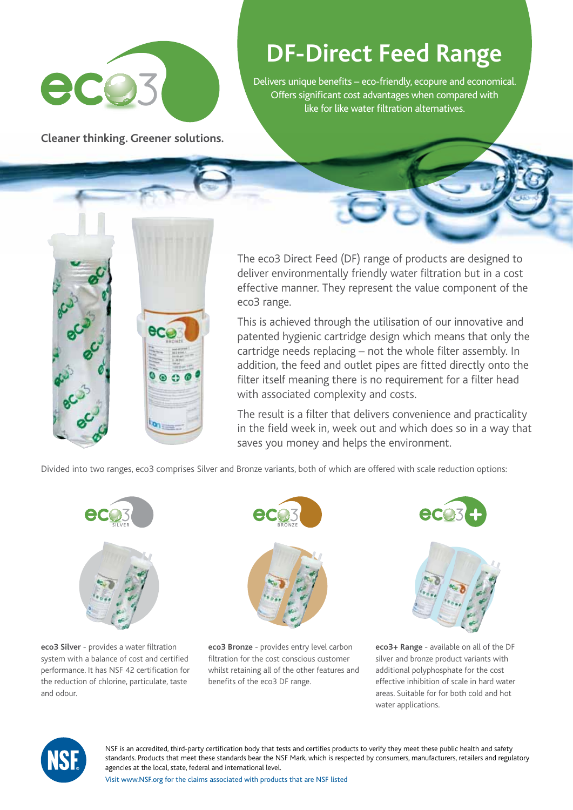

## **DF-Direct Feed Range**

Delivers unique benefits – eco-friendly, ecopure and economical. Offers significant cost advantages when compared with like for like water filtration alternatives.

**Cleaner thinking. Greener solutions.**



The eco3 Direct Feed (DF) range of products are designed to deliver environmentally friendly water filtration but in a cost effective manner. They represent the value component of the eco3 range.

This is achieved through the utilisation of our innovative and patented hygienic cartridge design which means that only the cartridge needs replacing – not the whole filter assembly. In addition, the feed and outlet pipes are fitted directly onto the filter itself meaning there is no requirement for a filter head with associated complexity and costs.

The result is a filter that delivers convenience and practicality in the field week in, week out and which does so in a way that saves you money and helps the environment.

Divided into two ranges, eco3 comprises Silver and Bronze variants, both of which are offered with scale reduction options:



**eco3 Silver** - provides a water filtration system with a balance of cost and certified performance. It has NSF 42 certification for the reduction of chlorine, particulate, taste and odour.



**eco3 Bronze** - provides entry level carbon filtration for the cost conscious customer whilst retaining all of the other features and benefits of the eco3 DF range.





**eco3+ Range** - available on all of the DF silver and bronze product variants with additional polyphosphate for the cost effective inhibition of scale in hard water areas. Suitable for for both cold and hot water applications.



NSF is an accredited, third-party certification body that tests and certifies products to verify they meet these public health and safety standards. Products that meet these standards bear the NSF Mark, which is respected by consumers, manufacturers, retailers and regulatory agencies at the local, state, federal and international level.